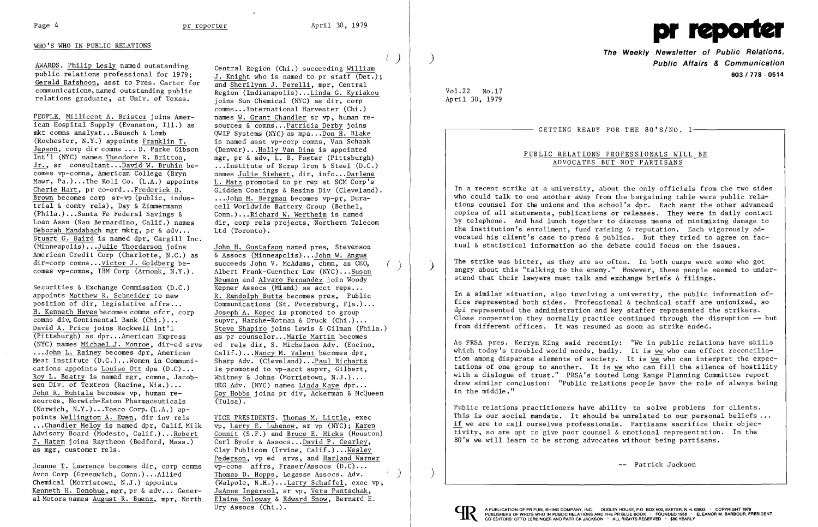# Page 4 pr reporter April 30, 1979 pr reporter April 30, 1979 pr reporter April 30, 1979 pr reporter April 30, 1979 pr reporter April 30, 1979 pr reporter and the set of the Second School and the Second School and the Secon

AWARDS. Philip Les1y named outstanding public relations professional for 1979; Gerald Rafshoon, asst to Pres. Carter for communications,named outstanding public relations graduate, at Univ. of Texas.

PEOPLE. Millicent A. Brister joins American Hospital Supply (Evanston, Ill.) as mkt comns ana1yst .••Bausch & Lomb (Rochester, N.Y.) appoints Franklin T. Jepson, corp dir comns ... D. Parke Gibson Int'l (NYC) names Theodore R. Britton, Jr., sr consultant...David W. Bruhin becomes vp-comns, American College (Bryn Mawr, Pa.)...The Koll Co. (L.A.) appoints Cherie Hart, pr co-ord... Frederick D. Brown becomes corp sr-vp (public, industrial & comty re1s) , Day & Zimmermann (Phi1a.) ...Santa Fe Federal Savings & Loan Assn (San Bernardino, Calif.) names Deborah Mandabach mgr mktg, pr & adv... Stuart G. Baird is named dpr, Cargill Inc. (Minneapo1is) •..Ju1ie Thordarson joins American Credit Corp (Charlotte, N.C.) as dir-corp comns ...Victor J. Goldberg becomes vp-comns, IBM Corp (Armonk, N.Y.).

Joanne T. Lawrence becomes dir, corp comns Avco Corp (Greenwich, Conn.) ...A11ied Chemical (Morristown, N.J.) appoints Kenneth H. Donohue, mgr, pr & adv ... General Motors names August R. Buenz, mpr. North

John H. Gustafson named pres, Stevenson & Assocs (Minneapolis)...John W. Angus<br>succeeds John V. McAdams, chmn, as CEO, Albert Frank-Guenther Law (NYC)... Susan Neuman and Alvaro Fernandez join Woody Kepner Assocs (Miami) as acct reps... R. Randolph Butts becomes pres, Public Communications (St. Petersburg, Fla.)... Joseph A. Kopec is promoted to group supvr, Harshe-Rotman & Druck (Chi.) ... Steve Shapiro joins Lewis & Gilman (Phi1a.) as pr counse10r...Marie Martin becomes ed re1s dir, S. Michelson Adv. (Encino, Calif.) ...Nancy M. Valent becomes dpr, Sharp Adv. (Cleveland)...Paul Richartz is promoted to vp-acct supvr, Gilbert, Whitney & Johns (Morristown, N.J.)... DKG Adv. (NYC) names Linda Kaye dpr... Coy Hobbs joins pr div, Ackerman & Mcqueen  $(Tulsa)$ .

Securities & Exchange Commission (D.C.) appoints Matthew R. Schneider to new position of dir, legislative affrs... H. Kenneth Hayes becomes comns ofcr, corp comns div, Continental Bank (Chi.)... David A. Price joins Rockwell Int'l (Pittsburgh) as dpr...American Express (NYC) names Michael J. Monroe, dir-ed srvs ••. John L. Rainey becomes dpr, American Meat Institute (D.C.) ...Women in Communications appoints Louise Ott dpa  $(D.C)$ ... Roy L. Beatty is named mgr, comns, Jacobsen Div. of Textron (Racine, Wis.) ... John R. Huhta1a becomes vp, human resources, Norwich-Eaton Pharmaceuticals (Norwich,  $N.Y.$ )...Tosco Corp.  $(L.A.)$  appoints Wellington A. Ewen, dir inv re1s ..•Chand1er Meloy is named dpr, Ca1i£ Milk Advisory Board (Modesto, Calif.) ...Robert F. Hatem joins Raytheon (Bedford, Mass.) as mgr, customer re1s.

Central Region (Chi.) succeeding William J. Knight who is named to pr staff (Det.); and Sheri1ynn J. Pere11i, mpr, Central Region (Indianapo1is) •.. Linda G. Kyriakou joins Sun Chemical (NYC) as dir, corp comns...International Harvester (Chi.) names W. Grant Chandler sr vp, human resources & comns...Patricia Derby joins QWIP Systems (NYC) as mpa...Don H. Blake is named asst vp-corp comns, Van Schaak (Denver) ...Ho11y Van Dine is appointed mgr, pr & adv, L. B. Foster (Pittsburgh) ...Institute of Scrap Iron & Steel (D.C.) names Julie Siebert, dir, info...Darlene L. Matz promoted to pr rep at SCM Corp's Glidden Coatings & Resins Div (Cleveland). ...John M. Bergman becomes vp-pr, Duracell Worldwide Battery Group (Bethel, Conn.) .•.Richard W. Wertheim is named dir, corp re1s projects, Northern Telecom Ltd (Toronto).

VICE PRESIDENTS. Thomas M. Little, exec vp, Larry E. Lubenow, sr vp (NYC); Karen Connit (S.F.) and Bruce E. Hicks (Houston) Carl Byoir & Assocs...David P. Cearley, Clay Pub1icom (Irvine, Ca1if.) ...Wes1ey Pederson, vp ed srvs, and Harland Warner vp-cons affrs, Fraser/Assocs (D.C) ... Thomas D. Hopps, Legasse Assocs. Adv.  $\overline{($ Walpole, N.H. $)$ ...Larry Schaffel, exec vp, JeAnne Ingerso1, sr vp, Vera Pantschak, Elaine Soloway & Edward Snow, Bernard E. Ury Assocs (Chi.).

 $\langle \quad \rangle$ 

**The Weekly Newsletter of Public Relations, Public Affairs & Communication 603/778·0514** 

-- Patrick Jackson

Vo1.22 No.17 April 30, 1979

GETTING READY FOR THE 80'S/NO. 1-

PUBLIC RELATIONS PROFESSIONALS WILL BE ADVOCATES BUT NOT PARTISANS

In a recent strike at a university, about the only officials from the two sides who could talk to one another away from the bargaining table were public relations counsel for the unions and the school's dpr. Each sent the other advanced copies of all statements, publications or releases. They were in daily contact by telephone. And had lunch together to discuss means of minimizing damage to the institution's enrollment, fund raising & reputation. Each vigorously advocated his client's case to press & publics. But they tried to agree on factual & statistical information so the debate could focus on the issues.

The strike was bitter, as they are so often. In both camps were some who got angry about this "talking to the enemy." However, these people seemed to understand that their lawyers must talk and exchange briefs & filings.

In a similar situation, also involving a university, the public information office represented both sides. Professional & technical staff are unionized, so dpi represented the administration and key staffer represented the strikers. Close cooperation they normally practice continued through the disruption -- but from different offices. It was resumed as soon as strike ended.

As PRSA pres. Kerryn King said recently: "We in public relations have skills which today's troubled world needs, badly. It is we who can effect reconciliation among disparate elements of society. It is we who can interpret the expectations of one group to another. It is we who can fill the silence of hostility with a dialogue of trust." PRSA's touted Long Range Planning Committee report drew similar conclusion: "Public relations people have the role of always being in the middle."

Public relations practitioners have ability to solve problems for clients. This is our social mandate. It should be unrelated to our personal beliefs... if we are to call ourselves professionals. Partisans sacrifice their objectivity, so are apt to give poor counsel & emotional representation. In the 80's we will learn to be strong advocates without being partisans.





I